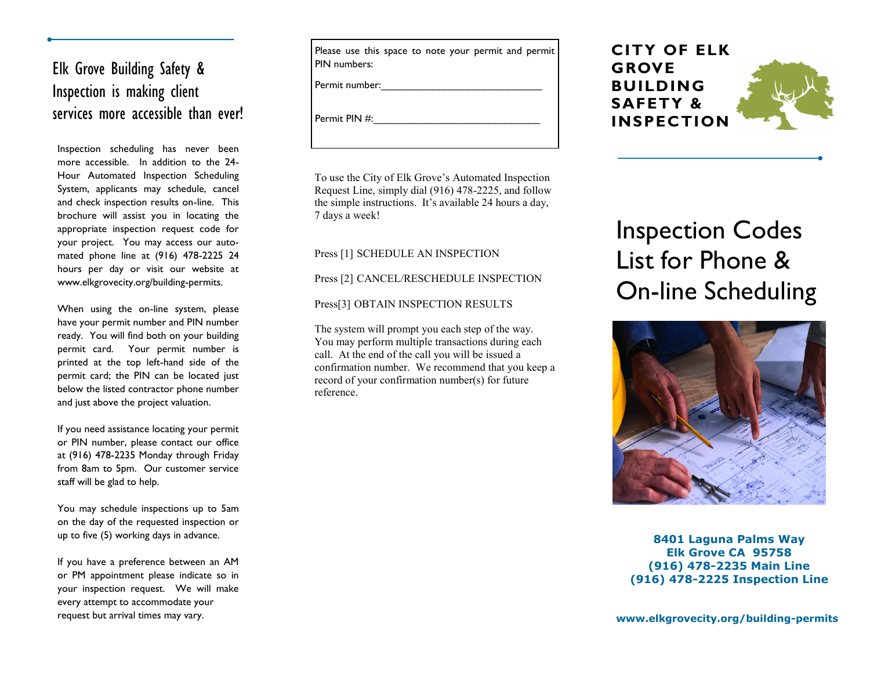## Elk Grove Building Safety & Inspection is making client services more accessible than ever!

Inspection scheduling has never been more accessible. In addition to the 24- Hour Automated Inspection Scheduling System, applicants may schedule, cancel and check inspection results on-line. This brochure will assist you in locating the appropriate inspection request code for your project. You may access our automated phone line at (916) 478-2225 24 hours per day or visit our website at www.elkgrovecity.org/building-permits.

When using the on-line system, please have your permit number and PIN number ready. You will find both on your building permit card. Your permit number is printed at the top left-hand side of the permit card; the PIN can be located just below the listed contractor phone number and just above the project valuation.

If you need assistance locating your permit or PIN number, please contact our office at (916) 478-2235 Monday through Friday from 8am to 5pm. Our customer service staff will be glad to help.

You may schedule inspections up to 5am on the day of the requested inspection or up to five (5) working days in advance.

If you have a preference between an AM or PM appointment please indicate so in your inspection request. We will make every attempt to accommodate your request but arrival times may vary.

Please use this space to note your permit and permit PIN numbers:

Permit number:

Permit PIN #:

To use the City of Elk Grove's Automated Inspection Request Line, simply dial (916) 478-2225, and follow the simple instructions. It's available 24 hours a day, 7 days a week!

Press [1] SCHEDULE AN INSPECTION

Press [2] CANCEL/RESCHEDULE INSPECTION

Press[3] OBTAIN INSPECTION RESULTS

The system will prompt you each step of the way. You may perform multiple transactions during each call. At the end of the call you will be issued a confirmation number. We recommend that you keep a record of your confirmation number(s) for future reference.



# Inspection Codes List for Phone & On-line Scheduling



**8401 Laguna Palms Way Elk Grove CA 95758 (916) 478-2235 Main Line (916) 478-2225 Inspection Line**

**www.elkgrovecity.org/building-permits**